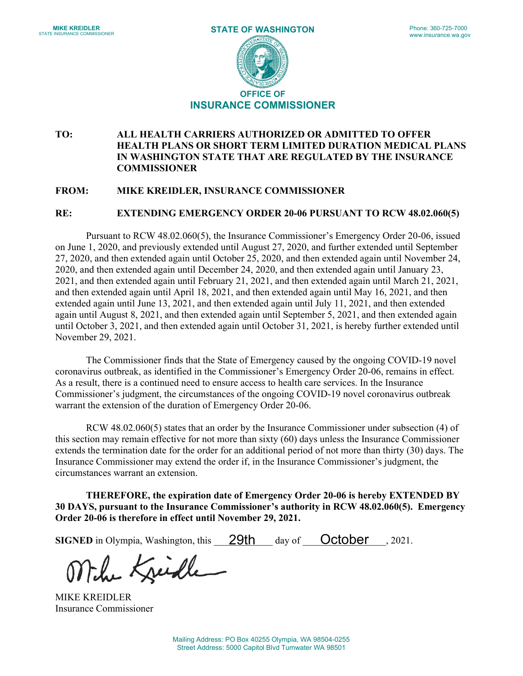

## **TO: ALL HEALTH CARRIERS AUTHORIZED OR ADMITTED TO OFFER HEALTH PLANS OR SHORT TERM LIMITED DURATION MEDICAL PLANS IN WASHINGTON STATE THAT ARE REGULATED BY THE INSURANCE COMMISSIONER**

## **FROM: MIKE KREIDLER, INSURANCE COMMISSIONER**

## **RE: EXTENDING EMERGENCY ORDER 20-06 PURSUANT TO RCW 48.02.060(5)**

Pursuant to RCW 48.02.060(5), the Insurance Commissioner's Emergency Order 20-06, issued on June 1, 2020, and previously extended until August 27, 2020, and further extended until September 27, 2020, and then extended again until October 25, 2020, and then extended again until November 24, 2020, and then extended again until December 24, 2020, and then extended again until January 23, 2021, and then extended again until February 21, 2021, and then extended again until March 21, 2021, and then extended again until April 18, 2021, and then extended again until May 16, 2021, and then extended again until June 13, 2021, and then extended again until July 11, 2021, and then extended again until August 8, 2021, and then extended again until September 5, 2021, and then extended again until October 3, 2021, and then extended again until October 31, 2021, is hereby further extended until November 29, 2021.

The Commissioner finds that the State of Emergency caused by the ongoing COVID-19 novel coronavirus outbreak, as identified in the Commissioner's Emergency Order 20-06, remains in effect. As a result, there is a continued need to ensure access to health care services. In the Insurance Commissioner's judgment, the circumstances of the ongoing COVID-19 novel coronavirus outbreak warrant the extension of the duration of Emergency Order 20-06.

RCW 48.02.060(5) states that an order by the Insurance Commissioner under subsection (4) of this section may remain effective for not more than sixty (60) days unless the Insurance Commissioner extends the termination date for the order for an additional period of not more than thirty (30) days. The Insurance Commissioner may extend the order if, in the Insurance Commissioner's judgment, the circumstances warrant an extension.

**THEREFORE, the expiration date of Emergency Order 20-06 is hereby EXTENDED BY 30 DAYS, pursuant to the Insurance Commissioner's authority in RCW 48.02.060(5). Emergency Order 20-06 is therefore in effect until November 29, 2021.**

**SIGNED** in Olympia, Washington, this **29th**  $\alpha$  day of **October**, 2021.

Mile Kreiche

MIKE KREIDLER Insurance Commissioner